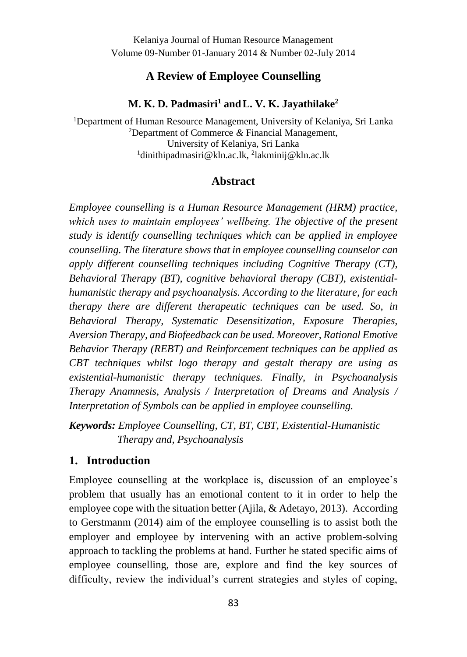### **A Review of Employee Counselling**

#### **M. K. D. Padmasiri<sup>1</sup> andL. V. K. Jayathilake<sup>2</sup>**

<sup>1</sup>Department of Human Resource Management, University of Kelaniya, Sri Lanka <sup>2</sup>Department of Commerce *&* Financial Management, University of Kelaniya, Sri Lanka <sup>1</sup>dinithipadmasiri@kln.ac.lk, <sup>2</sup>lakminij@kln.ac.lk

#### **Abstract**

*Employee counselling is a Human Resource Management (HRM) practice, which uses to maintain employees' wellbeing. The objective of the present study is identify counselling techniques which can be applied in employee counselling. The literature shows that in employee counselling counselor can apply different counselling techniques including Cognitive Therapy (CT), Behavioral Therapy (BT), cognitive behavioral therapy (CBT), existentialhumanistic therapy and psychoanalysis. According to the literature, for each therapy there are different therapeutic techniques can be used. So, in Behavioral Therapy, Systematic Desensitization, Exposure Therapies, Aversion Therapy, and Biofeedback can be used. Moreover, Rational Emotive Behavior Therapy (REBT) and Reinforcement techniques can be applied as CBT techniques whilst logo therapy and gestalt therapy are using as existential-humanistic therapy techniques. Finally, in Psychoanalysis Therapy Anamnesis, Analysis / Interpretation of Dreams and Analysis / Interpretation of Symbols can be applied in employee counselling.*

*Keywords: Employee Counselling, CT, BT, CBT, Existential-Humanistic Therapy and, Psychoanalysis*

#### **1. Introduction**

Employee counselling at the workplace is, discussion of an employee's problem that usually has an emotional content to it in order to help the employee cope with the situation better (Ajila, & Adetayo, 2013). According to Gerstmanm (2014) aim of the employee counselling is to assist both the employer and employee by intervening with an active problem-solving approach to tackling the problems at hand. Further he stated specific aims of employee counselling, those are, explore and find the key sources of difficulty, review the individual's current strategies and styles of coping,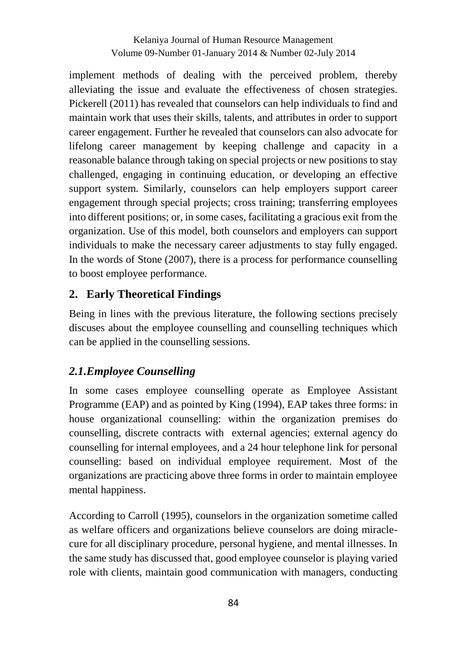implement methods of dealing with the perceived problem, thereby alleviating the issue and evaluate the effectiveness of chosen strategies. Pickerell (2011) has revealed that counselors can help individuals to find and maintain work that uses their skills, talents, and attributes in order to support career engagement. Further he revealed that counselors can also advocate for lifelong career management by keeping challenge and capacity in a reasonable balance through taking on special projects or new positions to stay challenged, engaging in continuing education, or developing an effective support system. Similarly, counselors can help employers support career engagement through special projects; cross training; transferring employees into different positions; or, in some cases, facilitating a gracious exit from the organization. Use of this model, both counselors and employers can support individuals to make the necessary career adjustments to stay fully engaged. In the words of Stone (2007), there is a process for performance counselling to boost employee performance.

### **2. Early Theoretical Findings**

Being in lines with the previous literature, the following sections precisely discuses about the employee counselling and counselling techniques which can be applied in the counselling sessions.

## *2.1.Employee Counselling*

In some cases employee counselling operate as Employee Assistant Programme (EAP) and as pointed by King (1994), EAP takes three forms: in house organizational counselling: within the organization premises do counselling, discrete contracts with external agencies; external agency do counselling for internal employees, and a 24 hour telephone link for personal counselling: based on individual employee requirement. Most of the organizations are practicing above three forms in order to maintain employee mental happiness.

According to Carroll (1995), counselors in the organization sometime called as welfare officers and organizations believe counselors are doing miraclecure for all disciplinary procedure, personal hygiene, and mental illnesses. In the same study has discussed that, good employee counselor is playing varied role with clients, maintain good communication with managers, conducting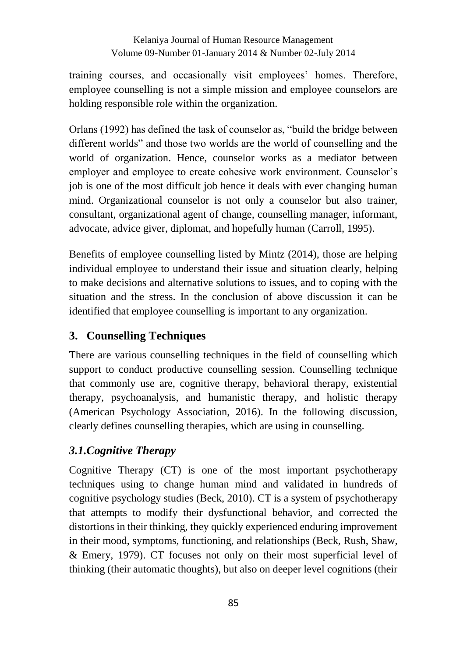training courses, and occasionally visit employees' homes. Therefore, employee counselling is not a simple mission and employee counselors are holding responsible role within the organization.

Orlans (1992) has defined the task of counselor as, "build the bridge between different worlds" and those two worlds are the world of counselling and the world of organization. Hence, counselor works as a mediator between employer and employee to create cohesive work environment. Counselor's job is one of the most difficult job hence it deals with ever changing human mind. Organizational counselor is not only a counselor but also trainer, consultant, organizational agent of change, counselling manager, informant, advocate, advice giver, diplomat, and hopefully human (Carroll, 1995).

Benefits of employee counselling listed by Mintz (2014), those are helping individual employee to understand their issue and situation clearly, helping to make decisions and alternative solutions to issues, and to coping with the situation and the stress. In the conclusion of above discussion it can be identified that employee counselling is important to any organization.

# **3. Counselling Techniques**

There are various counselling techniques in the field of counselling which support to conduct productive counselling session. Counselling technique that commonly use are, cognitive therapy, behavioral therapy, existential therapy, psychoanalysis, and humanistic therapy, and holistic therapy (American Psychology Association, 2016). In the following discussion, clearly defines counselling therapies, which are using in counselling.

# *3.1.Cognitive Therapy*

Cognitive Therapy (CT) is one of the most important psychotherapy techniques using to change human mind and validated in hundreds of cognitive psychology studies (Beck, 2010). CT is a system of psychotherapy that attempts to modify their dysfunctional behavior, and corrected the distortions in their thinking, they quickly experienced enduring improvement in their mood, symptoms, functioning, and relationships (Beck, Rush, Shaw, & Emery, 1979). CT focuses not only on their most superficial level of thinking (their automatic thoughts), but also on deeper level cognitions (their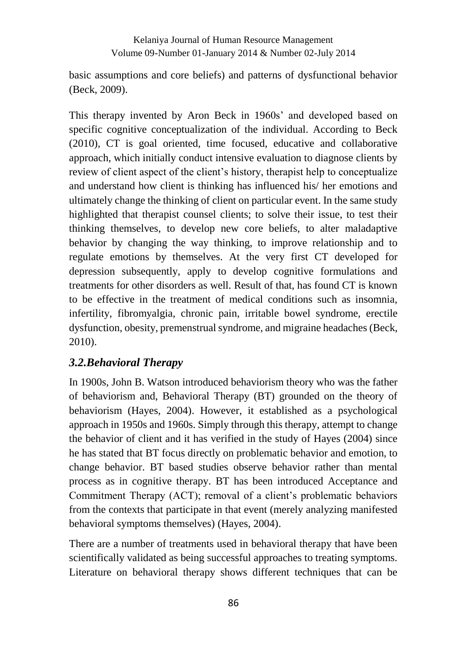basic assumptions and core beliefs) and patterns of dysfunctional behavior (Beck, 2009).

This therapy invented by Aron Beck in 1960s' and developed based on specific cognitive conceptualization of the individual. According to Beck (2010), CT is goal oriented, time focused, educative and collaborative approach, which initially conduct intensive evaluation to diagnose clients by review of client aspect of the client's history, therapist help to conceptualize and understand how client is thinking has influenced his/ her emotions and ultimately change the thinking of client on particular event. In the same study highlighted that therapist counsel clients; to solve their issue, to test their thinking themselves, to develop new core beliefs, to alter maladaptive behavior by changing the way thinking, to improve relationship and to regulate emotions by themselves. At the very first CT developed for depression subsequently, apply to develop cognitive formulations and treatments for other disorders as well. Result of that, has found CT is known to be effective in the treatment of medical conditions such as insomnia, infertility, fibromyalgia, chronic pain, irritable bowel syndrome, erectile dysfunction, obesity, premenstrual syndrome, and migraine headaches (Beck, 2010).

### *3.2.Behavioral Therapy*

In 1900s, John B. Watson introduced behaviorism theory who was the father of behaviorism and, Behavioral Therapy (BT) grounded on the theory of behaviorism (Hayes, 2004). However, it established as a psychological approach in 1950s and 1960s. Simply through this therapy, attempt to change the behavior of client and it has verified in the study of Hayes (2004) since he has stated that BT focus directly on problematic behavior and emotion, to change behavior. BT based studies observe behavior rather than mental process as in cognitive therapy. BT has been introduced Acceptance and Commitment Therapy (ACT); removal of a client's problematic behaviors from the contexts that participate in that event (merely analyzing manifested behavioral symptoms themselves) (Hayes, 2004).

There are a number of treatments used in behavioral therapy that have been scientifically validated as being successful approaches to treating symptoms. Literature on behavioral therapy shows different techniques that can be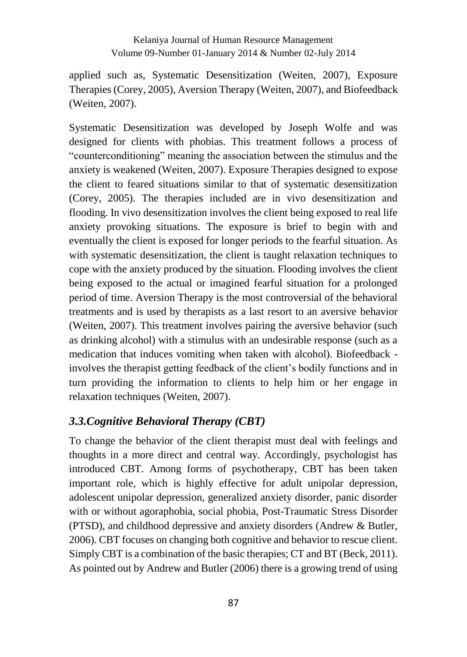applied such as, Systematic Desensitization (Weiten, 2007), Exposure Therapies (Corey, 2005), Aversion Therapy (Weiten, 2007), and Biofeedback (Weiten, 2007).

Systematic Desensitization was developed by Joseph Wolfe and was designed for clients with phobias. This treatment follows a process of "counterconditioning" meaning the association between the stimulus and the anxiety is weakened (Weiten, 2007). Exposure Therapies designed to expose the client to feared situations similar to that of systematic desensitization (Corey, 2005). The therapies included are in vivo desensitization and flooding. In vivo desensitization involves the client being exposed to real life anxiety provoking situations. The exposure is brief to begin with and eventually the client is exposed for longer periods to the fearful situation. As with systematic desensitization, the client is taught relaxation techniques to cope with the anxiety produced by the situation. Flooding involves the client being exposed to the actual or imagined fearful situation for a prolonged period of time. Aversion Therapy is the most controversial of the behavioral treatments and is used by therapists as a last resort to an aversive behavior (Weiten, 2007). This treatment involves pairing the aversive behavior (such as drinking alcohol) with a stimulus with an undesirable response (such as a medication that induces vomiting when taken with alcohol). Biofeedback involves the therapist getting feedback of the client's bodily functions and in turn providing the information to clients to help him or her engage in relaxation techniques (Weiten, 2007).

### *3.3.Cognitive Behavioral Therapy (CBT)*

To change the behavior of the client therapist must deal with feelings and thoughts in a more direct and central way. Accordingly, psychologist has introduced CBT. Among forms of psychotherapy, CBT has been taken important role, which is highly effective for adult unipolar depression, adolescent unipolar depression, generalized anxiety disorder, panic disorder with or without agoraphobia, social phobia, Post-Traumatic Stress Disorder (PTSD), and childhood depressive and anxiety disorders (Andrew & Butler, 2006). CBT focuses on changing both cognitive and behavior to rescue client. Simply CBT is a combination of the basic therapies; CT and BT (Beck, 2011). As pointed out by Andrew and Butler (2006) there is a growing trend of using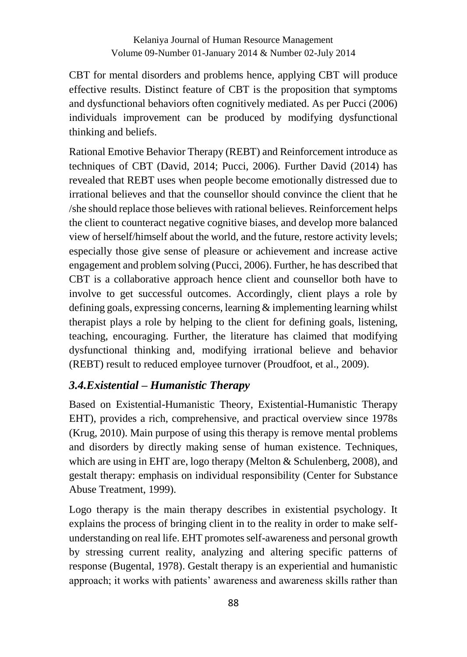CBT for mental disorders and problems hence, applying CBT will produce effective results. Distinct feature of CBT is the proposition that symptoms and dysfunctional behaviors often cognitively mediated. As per Pucci (2006) individuals improvement can be produced by modifying dysfunctional thinking and beliefs.

Rational Emotive Behavior Therapy (REBT) and Reinforcement introduce as techniques of CBT (David, 2014; Pucci, 2006). Further David (2014) has revealed that REBT uses when people become emotionally distressed due to irrational believes and that the counsellor should convince the client that he /she should replace those believes with rational believes. Reinforcement helps the client to counteract negative cognitive biases, and develop more balanced view of herself/himself about the world, and the future, restore activity levels; especially those give sense of pleasure or achievement and increase active engagement and problem solving (Pucci, 2006). Further, he has described that CBT is a collaborative approach hence client and counsellor both have to involve to get successful outcomes. Accordingly, client plays a role by defining goals, expressing concerns, learning & implementing learning whilst therapist plays a role by helping to the client for defining goals, listening, teaching, encouraging. Further, the literature has claimed that modifying dysfunctional thinking and, modifying irrational believe and behavior (REBT) result to reduced employee turnover (Proudfoot, et al., 2009).

## *3.4.Existential – Humanistic Therapy*

Based on Existential-Humanistic Theory, Existential-Humanistic Therapy EHT), provides a rich, comprehensive, and practical overview since 1978s (Krug, 2010). Main purpose of using this therapy is remove mental problems and disorders by directly making sense of human existence. Techniques, which are using in EHT are, logo therapy (Melton & Schulenberg, 2008), and gestalt therapy: emphasis on individual responsibility (Center for Substance Abuse Treatment, 1999).

Logo therapy is the main therapy describes in existential psychology. It explains the process of bringing client in to the reality in order to make selfunderstanding on real life. EHT promotes self-awareness and personal growth by stressing current reality, analyzing and altering specific patterns of response (Bugental, 1978). Gestalt therapy is an experiential and humanistic approach; it works with patients' awareness and awareness skills rather than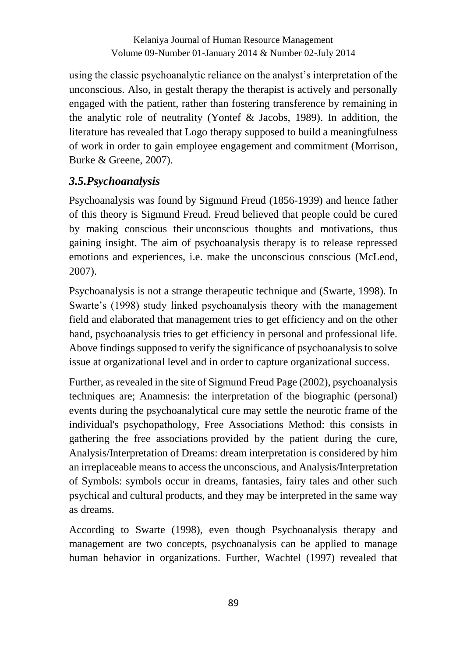using the classic psychoanalytic reliance on the analyst's interpretation of the unconscious. Also, in gestalt therapy the therapist is actively and personally engaged with the patient, rather than fostering transference by remaining in the analytic role of neutrality (Yontef & Jacobs, 1989). In addition, the literature has revealed that Logo therapy supposed to build a meaningfulness of work in order to gain employee engagement and commitment (Morrison, Burke & Greene, 2007).

# *3.5.Psychoanalysis*

Psychoanalysis was found by [Sigmund Freud](http://www.simplypsychology.org/Sigmund-Freud.html) (1856-1939) and hence father of this theory is Sigmund Freud. Freud believed that people could be cured by making conscious their [unconscious](http://www.simplypsychology.org/unconscious-mind.html) thoughts and motivations, thus gaining insight. The aim of psychoanalysis therapy is to release repressed emotions and experiences, i.e. make the unconscious conscious (McLeod, 2007).

Psychoanalysis is not a strange therapeutic technique and (Swarte, 1998). In Swarte's (1998) study linked psychoanalysis theory with the management field and elaborated that management tries to get efficiency and on the other hand, psychoanalysis tries to get efficiency in personal and professional life. Above findings supposed to verify the significance of psychoanalysis to solve issue at organizational level and in order to capture organizational success.

Further, as revealed in the site of Sigmund Freud Page (2002), psychoanalysis techniques are; Anamnesis: the interpretation of the biographic (personal) events during the psychoanalytical cure may settle the neurotic frame of the individual's psychopathology, Free Associations Method: this consists in gathering the free associations provided by the patient during the cure, Analysis/Interpretation of Dreams: dream interpretation is considered by him an irreplaceable means to access the unconscious, and Analysis/Interpretation of Symbols: symbols occur in dreams, fantasies, fairy tales and other such psychical and cultural products, and they may be interpreted in the same way as dreams.

According to Swarte (1998), even though Psychoanalysis therapy and management are two concepts, psychoanalysis can be applied to manage human behavior in organizations. Further, Wachtel (1997) revealed that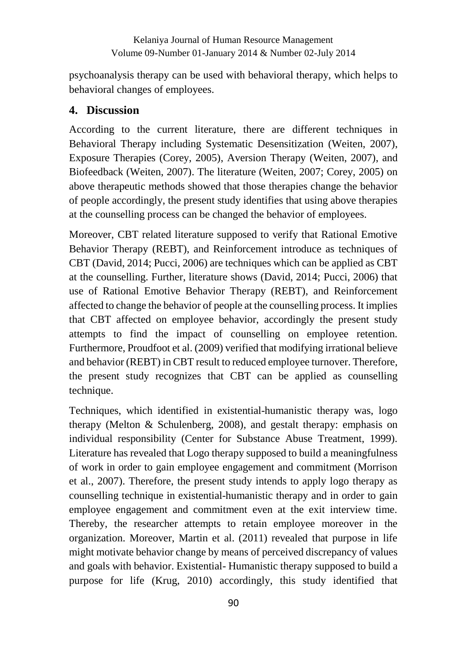psychoanalysis therapy can be used with behavioral therapy, which helps to behavioral changes of employees.

# **4. Discussion**

According to the current literature, there are different techniques in Behavioral Therapy including Systematic Desensitization (Weiten, 2007), Exposure Therapies (Corey, 2005), Aversion Therapy (Weiten, 2007), and Biofeedback (Weiten, 2007). The literature (Weiten, 2007; Corey, 2005) on above therapeutic methods showed that those therapies change the behavior of people accordingly, the present study identifies that using above therapies at the counselling process can be changed the behavior of employees.

Moreover, CBT related literature supposed to verify that Rational Emotive Behavior Therapy (REBT), and Reinforcement introduce as techniques of CBT (David, 2014; Pucci, 2006) are techniques which can be applied as CBT at the counselling. Further, literature shows (David, 2014; Pucci, 2006) that use of Rational Emotive Behavior Therapy (REBT), and Reinforcement affected to change the behavior of people at the counselling process. It implies that CBT affected on employee behavior, accordingly the present study attempts to find the impact of counselling on employee retention. Furthermore, Proudfoot et al. (2009) verified that modifying irrational believe and behavior (REBT) in CBT result to reduced employee turnover. Therefore, the present study recognizes that CBT can be applied as counselling technique.

Techniques, which identified in existential-humanistic therapy was, logo therapy (Melton & Schulenberg, 2008), and gestalt therapy: emphasis on individual responsibility (Center for Substance Abuse Treatment, 1999). Literature has revealed that Logo therapy supposed to build a meaningfulness of work in order to gain employee engagement and commitment (Morrison et al., 2007). Therefore, the present study intends to apply logo therapy as counselling technique in existential-humanistic therapy and in order to gain employee engagement and commitment even at the exit interview time. Thereby, the researcher attempts to retain employee moreover in the organization. Moreover, Martin et al. (2011) revealed that purpose in life might motivate behavior change by means of perceived discrepancy of values and goals with behavior. Existential- Humanistic therapy supposed to build a purpose for life (Krug, 2010) accordingly, this study identified that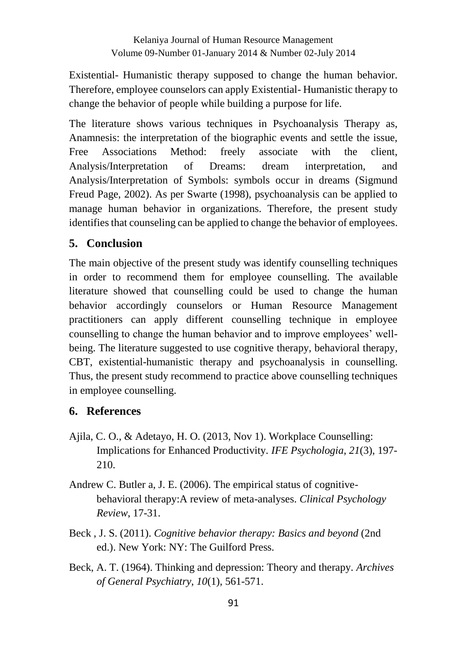Existential- Humanistic therapy supposed to change the human behavior. Therefore, employee counselors can apply Existential- Humanistic therapy to change the behavior of people while building a purpose for life.

The literature shows various techniques in Psychoanalysis Therapy as, Anamnesis: the interpretation of the biographic events and settle the issue, Free Associations Method: freely associate with the client, Analysis/Interpretation of Dreams: dream interpretation, and Analysis/Interpretation of Symbols: symbols occur in dreams (Sigmund Freud Page, 2002). As per Swarte (1998), psychoanalysis can be applied to manage human behavior in organizations. Therefore, the present study identifies that counseling can be applied to change the behavior of employees.

# **5. Conclusion**

The main objective of the present study was identify counselling techniques in order to recommend them for employee counselling. The available literature showed that counselling could be used to change the human behavior accordingly counselors or Human Resource Management practitioners can apply different counselling technique in employee counselling to change the human behavior and to improve employees' wellbeing. The literature suggested to use cognitive therapy, behavioral therapy, CBT, existential-humanistic therapy and psychoanalysis in counselling. Thus, the present study recommend to practice above counselling techniques in employee counselling.

## **6. References**

- Ajila, C. O., & Adetayo, H. O. (2013, Nov 1). Workplace Counselling: Implications for Enhanced Productivity. *IFE Psychologia, 21*(3), 197- 210.
- Andrew C. Butler a, J. E. (2006). The empirical status of cognitivebehavioral therapy:A review of meta-analyses. *Clinical Psychology Review*, 17-31.
- Beck , J. S. (2011). *Cognitive behavior therapy: Basics and beyond* (2nd ed.). New York: NY: The Guilford Press.
- Beck, A. T. (1964). Thinking and depression: Theory and therapy. *Archives of General Psychiatry, 10*(1), 561-571.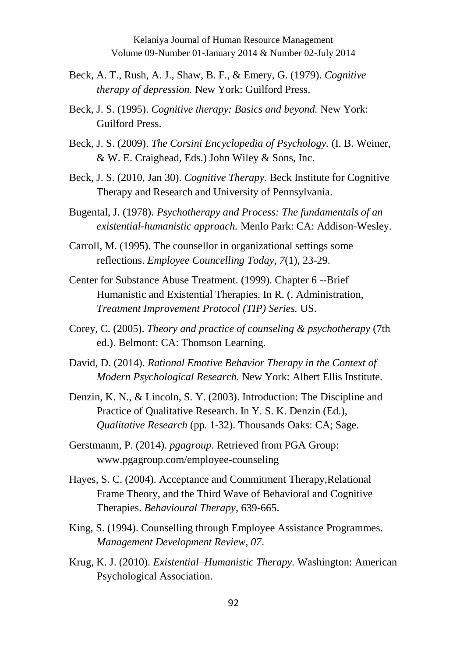- Beck, A. T., Rush, A. J., Shaw, B. F., & Emery, G. (1979). *Cognitive therapy of depression.* New York: Guilford Press.
- Beck, J. S. (1995). *Cognitive therapy: Basics and beyond.* New York: Guilford Press.
- Beck, J. S. (2009). *The Corsini Encyclopedia of Psychology.* (I. B. Weiner, & W. E. Craighead, Eds.) John Wiley & Sons, Inc.
- Beck, J. S. (2010, Jan 30). *Cognitive Therapy.* Beck Institute for Cognitive Therapy and Research and University of Pennsylvania.
- Bugental, J. (1978). *Psychotherapy and Process: The fundamentals of an existential-humanistic approach.* Menlo Park: CA: Addison-Wesley.
- Carroll, M. (1995). The counsellor in organizational settings some reflections. *Employee Councelling Today, 7*(1), 23-29.
- Center for Substance Abuse Treatment. (1999). Chapter 6 --Brief Humanistic and Existential Therapies. In R. (. Administration, *Treatment Improvement Protocol (TIP) Series.* US.
- Corey, C. (2005). *Theory and practice of counseling & psychotherapy* (7th ed.). Belmont: CA: Thomson Learning.
- David, D. (2014). *Rational Emotive Behavior Therapy in the Context of Modern Psychological Research.* New York: Albert Ellis Institute.
- Denzin, K. N., & Lincoln, S. Y. (2003). Introduction: The Discipline and Practice of Qualitative Research. In Y. S. K. Denzin (Ed.), *Qualitative Research* (pp. 1-32). Thousands Oaks: CA; Sage.
- Gerstmanm, P. (2014). *pgagroup*. Retrieved from PGA Group: www.pgagroup.com/employee-counseling
- Hayes, S. C. (2004). Acceptance and Commitment Therapy,Relational Frame Theory, and the Third Wave of Behavioral and Cognitive Therapies. *Behavioural Therapy*, 639-665.
- King, S. (1994). Counselling through Employee Assistance Programmes. *Management Development Review, 07*.
- Krug, K. J. (2010). *Existential–Humanistic Therapy.* Washington: American Psychological Association.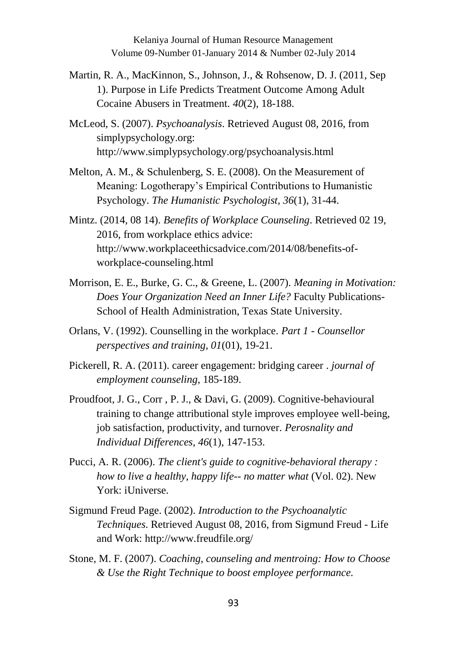- Martin, R. A., MacKinnon, S., Johnson, J., & Rohsenow, D. J. (2011, Sep 1). Purpose in Life Predicts Treatment Outcome Among Adult Cocaine Abusers in Treatment. *40*(2), 18-188.
- McLeod, S. (2007). *Psychoanalysis*. Retrieved August 08, 2016, from simplypsychology.org: http://www.simplypsychology.org/psychoanalysis.html
- Melton, A. M., & Schulenberg, S. E. (2008). On the Measurement of Meaning: Logotherapy's Empirical Contributions to Humanistic Psychology. *The Humanistic Psychologist, 36*(1), 31-44.
- Mintz. (2014, 08 14). *Benefits of Workplace Counseling*. Retrieved 02 19, 2016, from workplace ethics advice: http://www.workplaceethicsadvice.com/2014/08/benefits-ofworkplace-counseling.html
- Morrison, E. E., Burke, G. C., & Greene, L. (2007). *Meaning in Motivation: Does Your Organization Need an Inner Life?* Faculty Publications-School of Health Administration, Texas State University.
- Orlans, V. (1992). Counselling in the workplace. *Part 1 - Counsellor perspectives and training, 01*(01), 19-21.
- Pickerell, R. A. (2011). career engagement: bridging career . *journal of employment counseling*, 185-189.
- Proudfoot, J. G., Corr , P. J., & Davi, G. (2009). Cognitive-behavioural training to change attributional style improves employee well-being, job satisfaction, productivity, and turnover. *Perosnality and Individual Differences, 46*(1), 147-153.
- Pucci, A. R. (2006). *The client's guide to cognitive-behavioral therapy : how to live a healthy, happy life-- no matter what* (Vol. 02). New York: iUniverse.
- Sigmund Freud Page. (2002). *Introduction to the Psychoanalytic Techniques*. Retrieved August 08, 2016, from Sigmund Freud - Life and Work: http://www.freudfile.org/
- Stone, M. F. (2007). *Coaching, counseling and mentroing: How to Choose & Use the Right Technique to boost employee performance.*